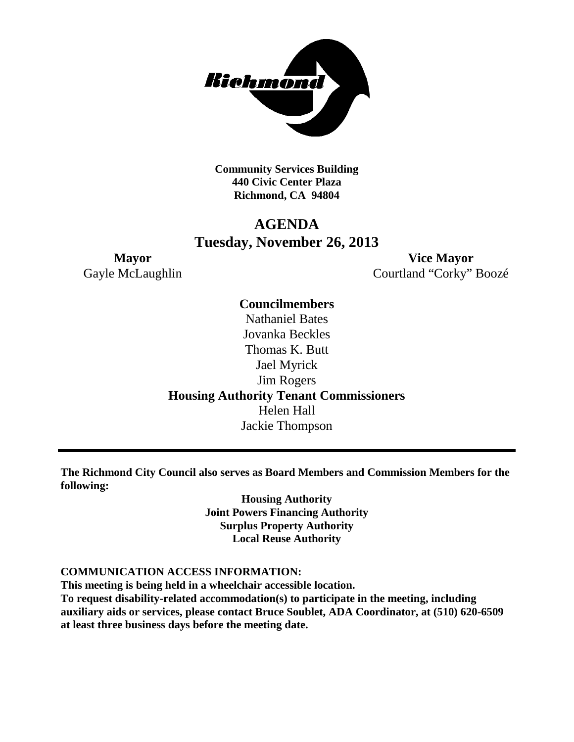

**Community Services Building 440 Civic Center Plaza Richmond, CA 94804**

### **AGENDA Tuesday, November 26, 2013**

**Mayor Vice Mayor** Gayle McLaughlin Courtland "Corky" Boozé

> **Councilmembers** Nathaniel Bates Jovanka Beckles Thomas K. Butt Jael Myrick Jim Rogers **Housing Authority Tenant Commissioners** Helen Hall Jackie Thompson

**The Richmond City Council also serves as Board Members and Commission Members for the following:**

> **Housing Authority Joint Powers Financing Authority Surplus Property Authority Local Reuse Authority**

#### **COMMUNICATION ACCESS INFORMATION:**

**This meeting is being held in a wheelchair accessible location. To request disability-related accommodation(s) to participate in the meeting, including auxiliary aids or services, please contact Bruce Soublet, ADA Coordinator, at (510) 620-6509 at least three business days before the meeting date.**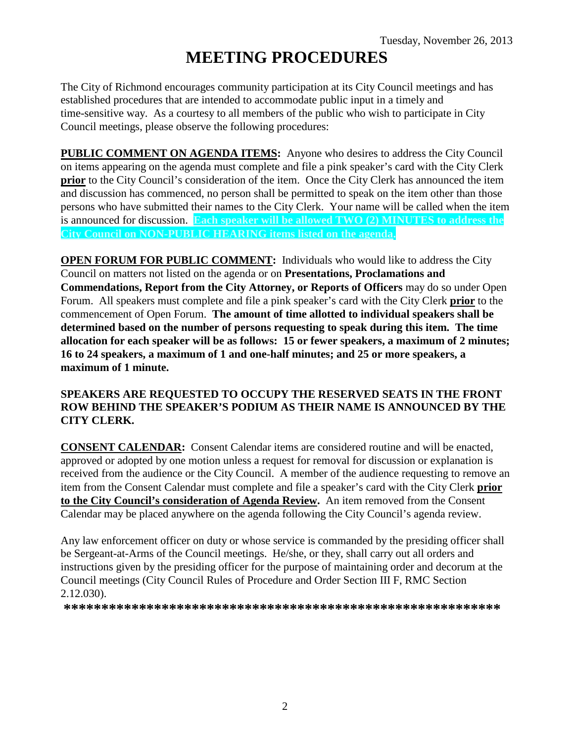# **MEETING PROCEDURES**

The City of Richmond encourages community participation at its City Council meetings and has established procedures that are intended to accommodate public input in a timely and time-sensitive way. As a courtesy to all members of the public who wish to participate in City Council meetings, please observe the following procedures:

**PUBLIC COMMENT ON AGENDA ITEMS:** Anyone who desires to address the City Council on items appearing on the agenda must complete and file a pink speaker's card with the City Clerk **prior** to the City Council's consideration of the item. Once the City Clerk has announced the item and discussion has commenced, no person shall be permitted to speak on the item other than those persons who have submitted their names to the City Clerk. Your name will be called when the item is announced for discussion. **Each speaker will be allowed TWO (2) MINUTES to address the City Council on NON-PUBLIC HEARING items listed on the agenda.**

**OPEN FORUM FOR PUBLIC COMMENT:** Individuals who would like to address the City Council on matters not listed on the agenda or on **Presentations, Proclamations and Commendations, Report from the City Attorney, or Reports of Officers** may do so under Open Forum. All speakers must complete and file a pink speaker's card with the City Clerk **prior** to the commencement of Open Forum. **The amount of time allotted to individual speakers shall be determined based on the number of persons requesting to speak during this item. The time allocation for each speaker will be as follows: 15 or fewer speakers, a maximum of 2 minutes; 16 to 24 speakers, a maximum of 1 and one-half minutes; and 25 or more speakers, a maximum of 1 minute.**

### **SPEAKERS ARE REQUESTED TO OCCUPY THE RESERVED SEATS IN THE FRONT ROW BEHIND THE SPEAKER'S PODIUM AS THEIR NAME IS ANNOUNCED BY THE CITY CLERK.**

**CONSENT CALENDAR:** Consent Calendar items are considered routine and will be enacted, approved or adopted by one motion unless a request for removal for discussion or explanation is received from the audience or the City Council. A member of the audience requesting to remove an item from the Consent Calendar must complete and file a speaker's card with the City Clerk **prior to the City Council's consideration of Agenda Review.** An item removed from the Consent Calendar may be placed anywhere on the agenda following the City Council's agenda review.

Any law enforcement officer on duty or whose service is commanded by the presiding officer shall be Sergeant-at-Arms of the Council meetings. He/she, or they, shall carry out all orders and instructions given by the presiding officer for the purpose of maintaining order and decorum at the Council meetings (City Council Rules of Procedure and Order Section III F, RMC Section 2.12.030).

**\*\*\*\*\*\*\*\*\*\*\*\*\*\*\*\*\*\*\*\*\*\*\*\*\*\*\*\*\*\*\*\*\*\*\*\*\*\*\*\*\*\*\*\*\*\*\*\*\*\*\*\*\*\*\*\*\*\***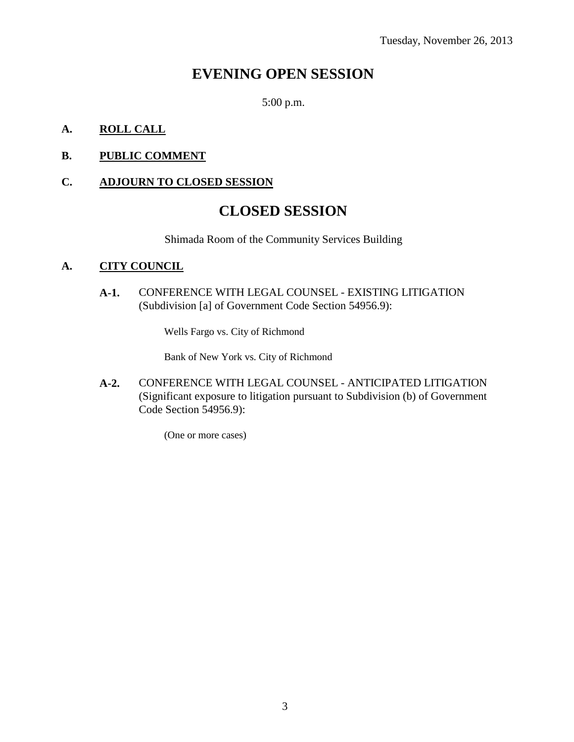## **EVENING OPEN SESSION**

5:00 p.m.

### **A. ROLL CALL**

### **B. PUBLIC COMMENT**

### **C. ADJOURN TO CLOSED SESSION**

### **CLOSED SESSION**

Shimada Room of the Community Services Building

### **A. CITY COUNCIL**

**A-1.** CONFERENCE WITH LEGAL COUNSEL - EXISTING LITIGATION (Subdivision [a] of Government Code Section 54956.9):

Wells Fargo vs. City of Richmond

Bank of New York vs. City of Richmond

**A-2.** CONFERENCE WITH LEGAL COUNSEL - ANTICIPATED LITIGATION (Significant exposure to litigation pursuant to Subdivision (b) of Government Code Section 54956.9):

(One or more cases)